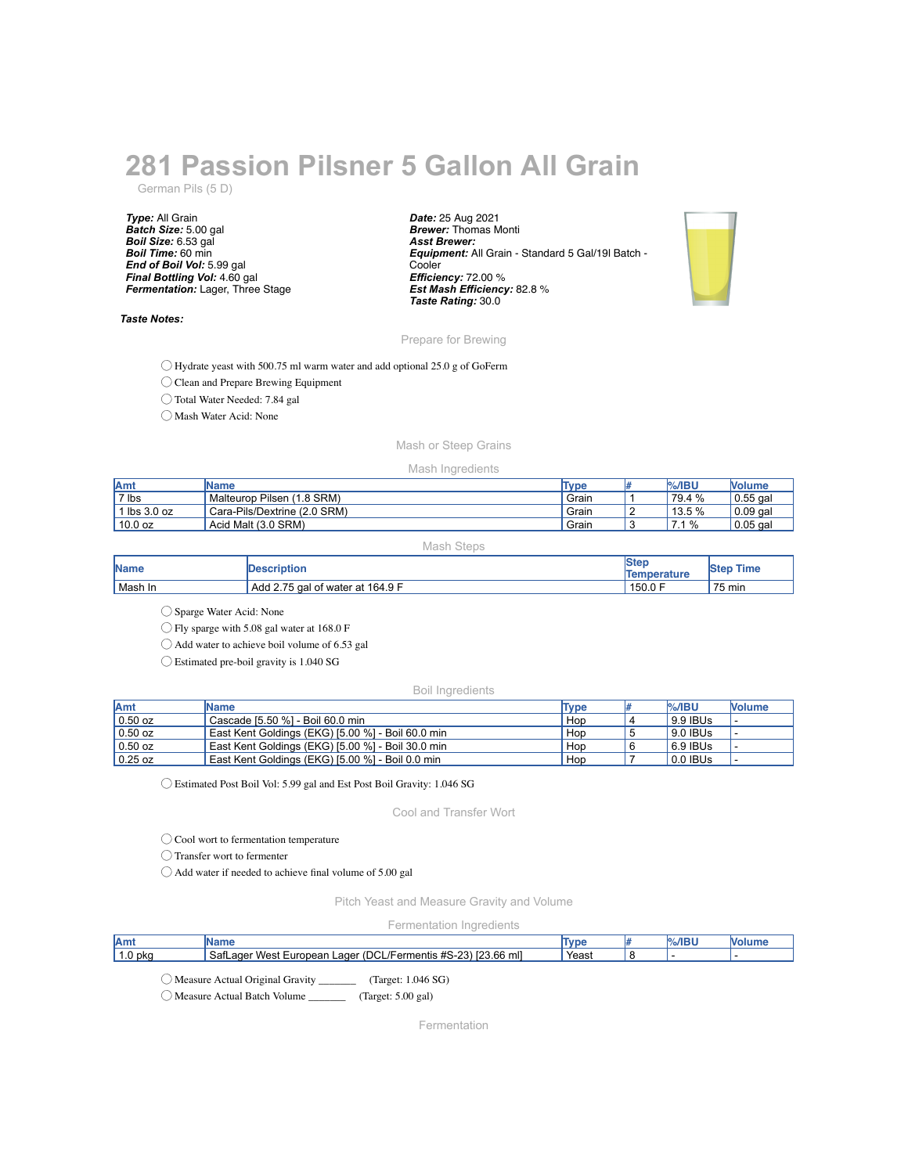# **281 Passion Pilsner 5 Gallon All Grain**

German Pils (5 D)

*Type:* All Grain *Batch Size:* 5.00 gal *Boil Size:* 6.53 gal *Boil Time:* 60 min *End of Boil Vol:* 5.99 gal *Final Bottling Vol:* 4.60 gal *Fermentation:* Lager, Three Stage

## *Taste Notes:*

*Date:* 25 Aug 2021 *Brewer:* Thomas Monti *Asst Brewer: Equipment:* All Grain - Standard 5 Gal/19l Batch - **Cooler** *Efficiency:* 72.00 % *Est Mash Efficiency:* 82.8 % *Taste Rating:* 30.0



## Prepare for Brewing

◯ Hydrate yeast with 500.75 ml warm water and add optional 25.0 g of GoFerm

◯ Clean and Prepare Brewing Equipment

◯ Total Water Needed: 7.84 gal

◯ Mash Water Acid: None

# Mash or Steep Grains

## Mash Ingredients

| <b>Amt</b>            | <b>IName</b>                  | Type  | <b>%/IBU</b> | <b>Volume</b> |
|-----------------------|-------------------------------|-------|--------------|---------------|
| 7 lbs                 | Pilsen (1.8 SRM)<br>Malteurop | Grain | 79.4 %       | $0.55$ gal    |
| $\mathsf{lbs} 3.0$ oz | Cara-Pils/Dextrine (2.0 SRM)  | Grain | 13.5 %       | $0.09$ gal    |
| 10.0 oz               | Acid Malt (3.0 SRM)           | Grain | $\%$         | $0.05$ gal    |

Mash Steps

| <b>Name</b> | <b>Description</b>               | <b>Ster</b><br>Temperature | <b>Time</b><br><b>Step</b> |
|-------------|----------------------------------|----------------------------|----------------------------|
| Mash In     | Add 2.75 gal of water at 164.9 F | 150.0 F                    | 75 min                     |

◯ Sparge Water Acid: None

◯ Fly sparge with 5.08 gal water at 168.0 F

◯ Add water to achieve boil volume of 6.53 gal

◯ Estimated pre-boil gravity is 1.040 SG

#### Boil Ingredients

| <b>Amt</b> | <b>IName</b>                                      | Type | $\frac{9}{6}$ /IBU | <b>Nolume</b> |
|------------|---------------------------------------------------|------|--------------------|---------------|
| $0.50$ oz  | Cascade [5.50 %] - Boil 60.0 min                  | Hop  | 9.9 IBUs           |               |
| $0.50$ oz  | East Kent Goldings (EKG) [5.00 %] - Boil 60.0 min | Hop  | 9.0 IBUs           |               |
| $0.50$ oz  | East Kent Goldings (EKG) [5.00 %] - Boil 30.0 min | Hop  | 6.9 IBUs           |               |
| $0.25$ oz  | East Kent Goldings (EKG) [5.00 %] - Boil 0.0 min  | Hop  | 0.0 IBUs           |               |

◯ Estimated Post Boil Vol: 5.99 gal and Est Post Boil Gravity: 1.046 SG

Cool and Transfer Wort

◯ Cool wort to fermentation temperature

◯ Transfer wort to fermenter

◯ Add water if needed to achieve final volume of 5.00 gal

Pitch Yeast and Measure Gravity and Volume

#### Fermentation Ingredients

| <b>Amt</b>                                                                          | <b>IName</b>                                         | Tvpe  | <b>%/IBU</b> |  |
|-------------------------------------------------------------------------------------|------------------------------------------------------|-------|--------------|--|
| 1.0 <sub>pkq</sub><br>SafLager West European Lager (DCL/Fermentis #S-23) [23.66 ml] |                                                      | Yeast |              |  |
|                                                                                     |                                                      |       |              |  |
|                                                                                     | Target: 1.046 SG)<br>Measure Actual Original Gravity |       |              |  |

◯ Measure Actual Batch Volume \_\_\_\_\_\_\_ (Target: 5.00 gal)

Fermentation